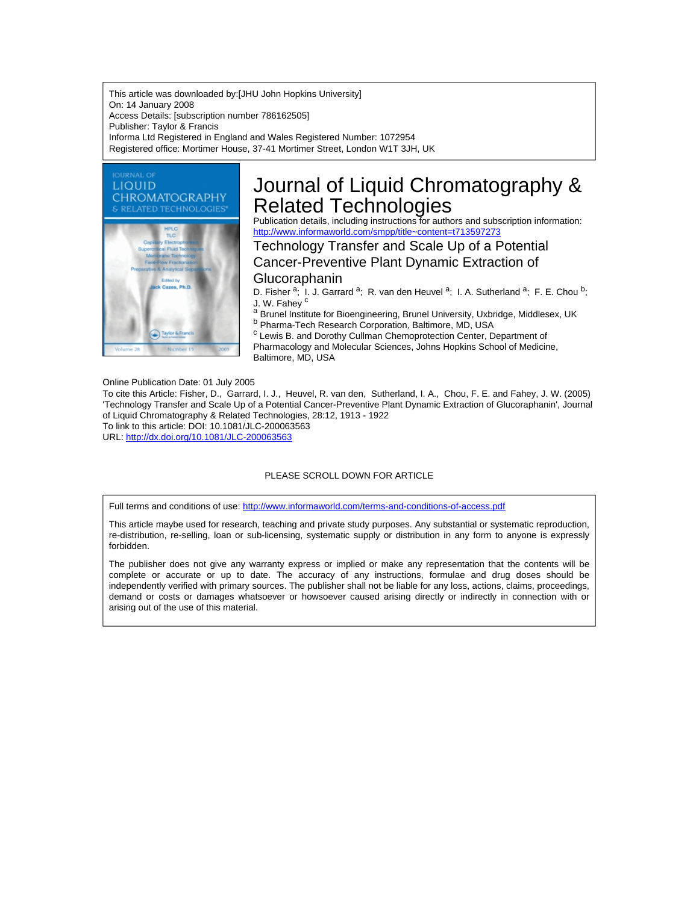This article was downloaded by:[JHU John Hopkins University] On: 14 January 2008 Access Details: [subscription number 786162505] Publisher: Taylor & Francis Informa Ltd Registered in England and Wales Registered Number: 1072954 Registered office: Mortimer House, 37-41 Mortimer Street, London W1T 3JH, UK



# Journal of Liquid Chromatography & Related Technologies

Publication details, including instructions for authors and subscription information: <http://www.informaworld.com/smpp/title~content=t713597273>

Technology Transfer and Scale Up of a Potential Cancer-Preventive Plant Dynamic Extraction of

# Glucoraphanin

D. Fisher <sup>a</sup>; I. J. Garrard <sup>a</sup>; R. van den Heuvel <sup>a</sup>; I. A. Sutherland <sup>a</sup>; F. E. Chou <sup>b</sup>; J. W. Fahey<sup>c</sup>

a Brunel Institute for Bioengineering, Brunel University, Uxbridge, Middlesex, UK b Pharma-Tech Research Corporation, Baltimore, MD, USA

<sup>c</sup> Lewis B. and Dorothy Cullman Chemoprotection Center, Department of Pharmacology and Molecular Sciences, Johns Hopkins School of Medicine, Baltimore, MD, USA

Online Publication Date: 01 July 2005

To cite this Article: Fisher, D., Garrard, I. J., Heuvel, R. van den, Sutherland, I. A., Chou, F. E. and Fahey, J. W. (2005) 'Technology Transfer and Scale Up of a Potential Cancer-Preventive Plant Dynamic Extraction of Glucoraphanin', Journal of Liquid Chromatography & Related Technologies, 28:12, 1913 - 1922 To link to this article: DOI: 10.1081/JLC-200063563 URL: <http://dx.doi.org/10.1081/JLC-200063563>

#### PLEASE SCROLL DOWN FOR ARTICLE

Full terms and conditions of use: <http://www.informaworld.com/terms-and-conditions-of-access.pdf>

This article maybe used for research, teaching and private study purposes. Any substantial or systematic reproduction, re-distribution, re-selling, loan or sub-licensing, systematic supply or distribution in any form to anyone is expressly forbidden.

The publisher does not give any warranty express or implied or make any representation that the contents will be complete or accurate or up to date. The accuracy of any instructions, formulae and drug doses should be independently verified with primary sources. The publisher shall not be liable for any loss, actions, claims, proceedings, demand or costs or damages whatsoever or howsoever caused arising directly or indirectly in connection with or arising out of the use of this material.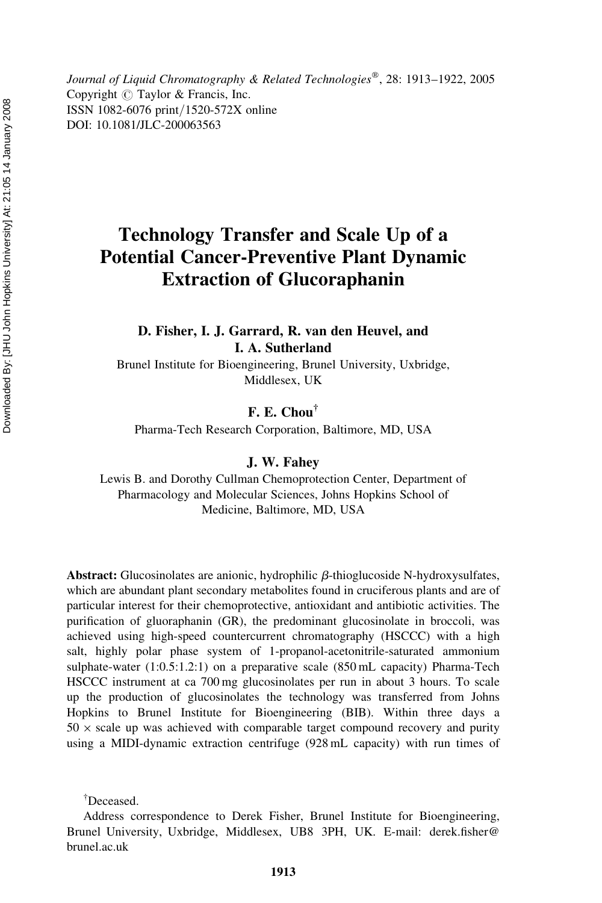Journal of Liquid Chromatography & Related Technologies®, 28: 1913-1922, 2005 Copyright  $\odot$  Taylor & Francis, Inc. ISSN 1082-6076 print/1520-572X online DOI: 10.1081/JLC-200063563

# Technology Transfer and Scale Up of a Potential Cancer-Preventive Plant Dynamic Extraction of Glucoraphanin

D. Fisher, I. J. Garrard, R. van den Heuvel, and I. A. Sutherland

Brunel Institute for Bioengineering, Brunel University, Uxbridge, Middlesex, UK

F. E. Chou†

Pharma-Tech Research Corporation, Baltimore, MD, USA

J. W. Fahey

Lewis B. and Dorothy Cullman Chemoprotection Center, Department of Pharmacology and Molecular Sciences, Johns Hopkins School of Medicine, Baltimore, MD, USA

Abstract: Glucosinolates are anionic, hydrophilic  $\beta$ -thioglucoside N-hydroxysulfates, which are abundant plant secondary metabolites found in cruciferous plants and are of particular interest for their chemoprotective, antioxidant and antibiotic activities. The purification of gluoraphanin (GR), the predominant glucosinolate in broccoli, was achieved using high-speed countercurrent chromatography (HSCCC) with a high salt, highly polar phase system of 1-propanol-acetonitrile-saturated ammonium sulphate-water (1:0.5:1.2:1) on a preparative scale (850 mL capacity) Pharma-Tech HSCCC instrument at ca 700 mg glucosinolates per run in about 3 hours. To scale up the production of glucosinolates the technology was transferred from Johns Hopkins to Brunel Institute for Bioengineering (BIB). Within three days a  $50 \times$  scale up was achieved with comparable target compound recovery and purity using a MIDI-dynamic extraction centrifuge (928 mL capacity) with run times of

† Deceased.

Address correspondence to Derek Fisher, Brunel Institute for Bioengineering, Brunel University, Uxbridge, Middlesex, UB8 3PH, UK. E-mail: derek.fisher@ brunel.ac.uk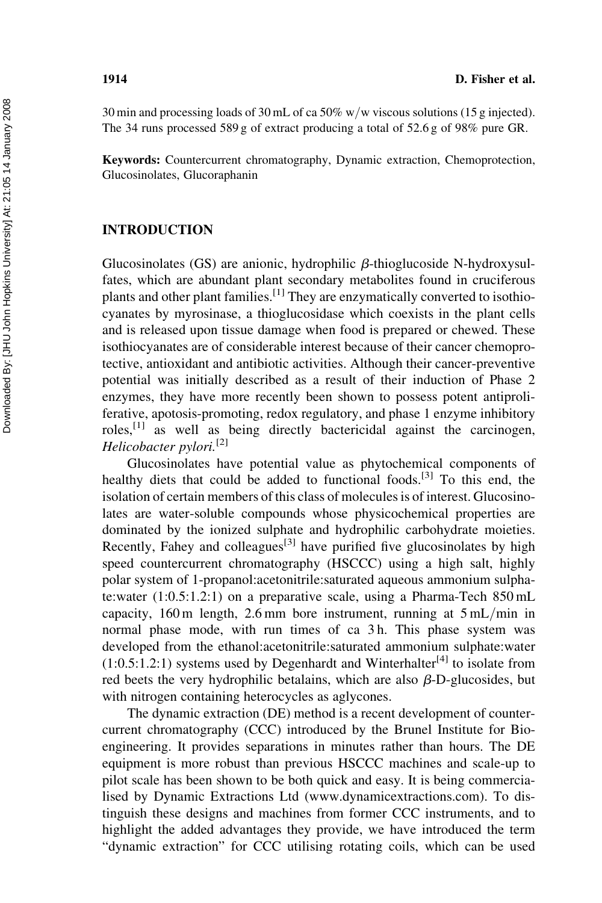30 min and processing loads of 30 mL of ca 50% w/w viscous solutions (15 g injected). The 34 runs processed 589 g of extract producing a total of 52.6 g of 98% pure GR.

Keywords: Countercurrent chromatography, Dynamic extraction, Chemoprotection, Glucosinolates, Glucoraphanin

#### INTRODUCTION

Glucosinolates  $(GS)$  are anionic, hydrophilic  $\beta$ -thioglucoside N-hydroxysulfates, which are abundant plant secondary metabolites found in cruciferous plants and other plant families.[1] They are enzymatically converted to isothiocyanates by myrosinase, a thioglucosidase which coexists in the plant cells and is released upon tissue damage when food is prepared or chewed. These isothiocyanates are of considerable interest because of their cancer chemoprotective, antioxidant and antibiotic activities. Although their cancer-preventive potential was initially described as a result of their induction of Phase 2 enzymes, they have more recently been shown to possess potent antiproliferative, apotosis-promoting, redox regulatory, and phase 1 enzyme inhibitory roles,[1] as well as being directly bactericidal against the carcinogen, Helicobacter pylori.<sup>[2]</sup>

Glucosinolates have potential value as phytochemical components of healthy diets that could be added to functional foods.<sup>[3]</sup> To this end, the isolation of certain members of this class of molecules is of interest. Glucosinolates are water-soluble compounds whose physicochemical properties are dominated by the ionized sulphate and hydrophilic carbohydrate moieties. Recently, Fahey and colleagues<sup>[3]</sup> have purified five glucosinolates by high speed countercurrent chromatography (HSCCC) using a high salt, highly polar system of 1-propanol:acetonitrile:saturated aqueous ammonium sulphate:water (1:0.5:1.2:1) on a preparative scale, using a Pharma-Tech 850 mL capacity,  $160 \text{ m}$  length,  $2.6 \text{ mm}$  bore instrument, running at  $5 \text{ mL/min}$  in normal phase mode, with run times of ca 3 h. This phase system was developed from the ethanol:acetonitrile:saturated ammonium sulphate:water  $(1:0.5:1.2:1)$  systems used by Degenhardt and Winterhalter<sup>[4]</sup> to isolate from red beets the very hydrophilic betalains, which are also  $\beta$ -D-glucosides, but with nitrogen containing heterocycles as aglycones.

The dynamic extraction (DE) method is a recent development of countercurrent chromatography (CCC) introduced by the Brunel Institute for Bioengineering. It provides separations in minutes rather than hours. The DE equipment is more robust than previous HSCCC machines and scale-up to pilot scale has been shown to be both quick and easy. It is being commercialised by Dynamic Extractions Ltd (www.dynamicextractions.com). To distinguish these designs and machines from former CCC instruments, and to highlight the added advantages they provide, we have introduced the term "dynamic extraction" for CCC utilising rotating coils, which can be used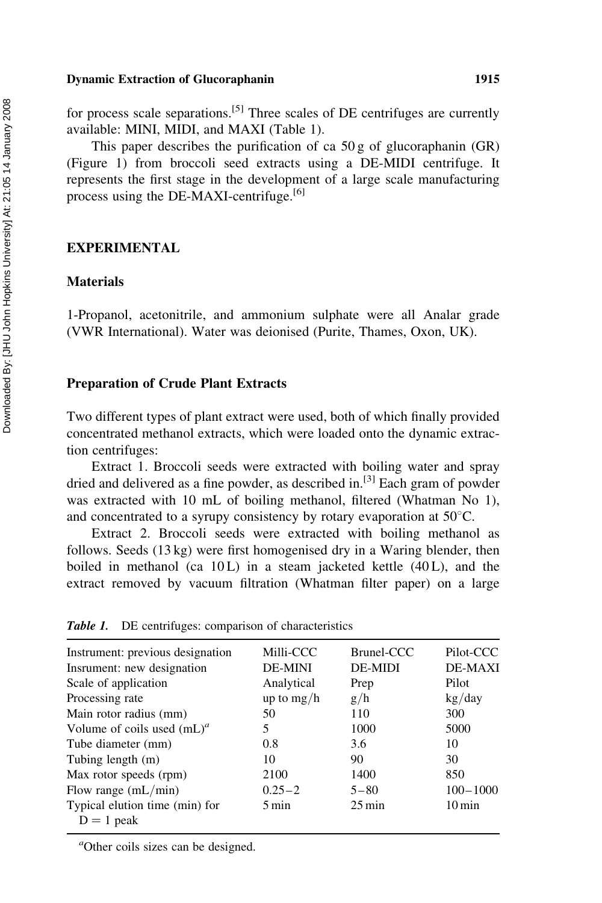#### Dynamic Extraction of Glucoraphanin 1915

for process scale separations.<sup>[5]</sup> Three scales of DE centrifuges are currently available: MINI, MIDI, and MAXI (Table 1).

This paper describes the purification of ca 50 g of glucoraphanin (GR) (Figure 1) from broccoli seed extracts using a DE-MIDI centrifuge. It represents the first stage in the development of a large scale manufacturing process using the DE-MAXI-centrifuge.<sup>[6]</sup>

#### EXPERIMENTAL

#### Materials

1-Propanol, acetonitrile, and ammonium sulphate were all Analar grade (VWR International). Water was deionised (Purite, Thames, Oxon, UK).

#### Preparation of Crude Plant Extracts

Two different types of plant extract were used, both of which finally provided concentrated methanol extracts, which were loaded onto the dynamic extraction centrifuges:

Extract 1. Broccoli seeds were extracted with boiling water and spray dried and delivered as a fine powder, as described in.<sup>[3]</sup> Each gram of powder was extracted with 10 mL of boiling methanol, filtered (Whatman No 1), and concentrated to a syrupy consistency by rotary evaporation at  $50^{\circ}$ C.

Extract 2. Broccoli seeds were extracted with boiling methanol as follows. Seeds (13 kg) were first homogenised dry in a Waring blender, then boiled in methanol (ca 10L) in a steam jacketed kettle (40L), and the extract removed by vacuum filtration (Whatman filter paper) on a large

| Instrument: previous designation | Milli-CCC          | Brunel-CCC          | Pilot-CCC              |
|----------------------------------|--------------------|---------------------|------------------------|
| Insrument: new designation       | <b>DE-MINI</b>     | DE-MIDI             | DE-MAXI                |
| Scale of application             | Analytical         | Prep                | Pilot                  |
| Processing rate                  | up to $mg/h$       | g/h                 | $\text{kg}/\text{day}$ |
| Main rotor radius (mm)           | 50                 | 110                 | 300                    |
| Volume of coils used $(mL)^a$    | 5                  | 1000                | 5000                   |
| Tube diameter (mm)               | 0.8                | 3.6                 | 10                     |
| Tubing length (m)                | 10                 | 90                  | 30                     |
| Max rotor speeds (rpm)           | 2100               | 1400                | 850                    |
| Flow range $(mL/min)$            | $0.25 - 2$         | $5 - 80$            | $100 - 1000$           |
| Typical elution time (min) for   | $5 \,\mathrm{min}$ | $25 \,\mathrm{min}$ | $10 \,\mathrm{min}$    |
| $D = 1$ peak                     |                    |                     |                        |

Table 1. DE centrifuges: comparison of characteristics

a Other coils sizes can be designed.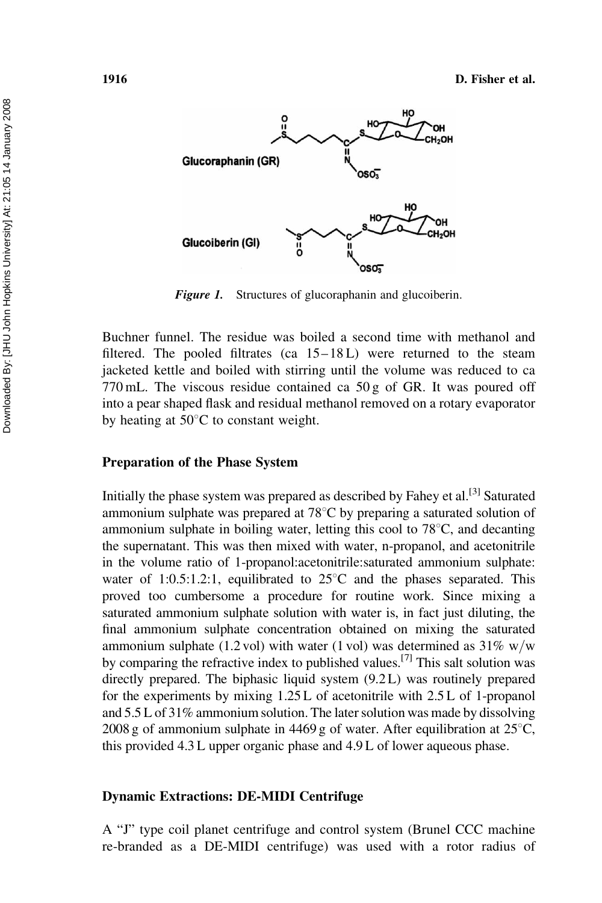

Figure 1. Structures of glucoraphanin and glucoiberin.

Buchner funnel. The residue was boiled a second time with methanol and filtered. The pooled filtrates (ca  $15-18L$ ) were returned to the steam jacketed kettle and boiled with stirring until the volume was reduced to ca 770 mL. The viscous residue contained ca 50 g of GR. It was poured off into a pear shaped flask and residual methanol removed on a rotary evaporator by heating at  $50^{\circ}$ C to constant weight.

#### Preparation of the Phase System

Initially the phase system was prepared as described by Fahey et al.[3] Saturated ammonium sulphate was prepared at  $78^{\circ}$ C by preparing a saturated solution of ammonium sulphate in boiling water, letting this cool to  $78^{\circ}$ C, and decanting the supernatant. This was then mixed with water, n-propanol, and acetonitrile in the volume ratio of 1-propanol:acetonitrile:saturated ammonium sulphate: water of 1:0.5:1.2:1, equilibrated to  $25^{\circ}$ C and the phases separated. This proved too cumbersome a procedure for routine work. Since mixing a saturated ammonium sulphate solution with water is, in fact just diluting, the final ammonium sulphate concentration obtained on mixing the saturated ammonium sulphate (1.2 vol) with water (1 vol) was determined as  $31\%$  w/w by comparing the refractive index to published values.<sup>[7]</sup> This salt solution was directly prepared. The biphasic liquid system (9.2 L) was routinely prepared for the experiments by mixing 1.25 L of acetonitrile with 2.5 L of 1-propanol and 5.5 L of 31% ammonium solution. The later solution was made by dissolving 2008 g of ammonium sulphate in 4469 g of water. After equilibration at  $25^{\circ}$ C, this provided 4.3 L upper organic phase and 4.9 L of lower aqueous phase.

#### Dynamic Extractions: DE-MIDI Centrifuge

A "J" type coil planet centrifuge and control system (Brunel CCC machine re-branded as a DE-MIDI centrifuge) was used with a rotor radius of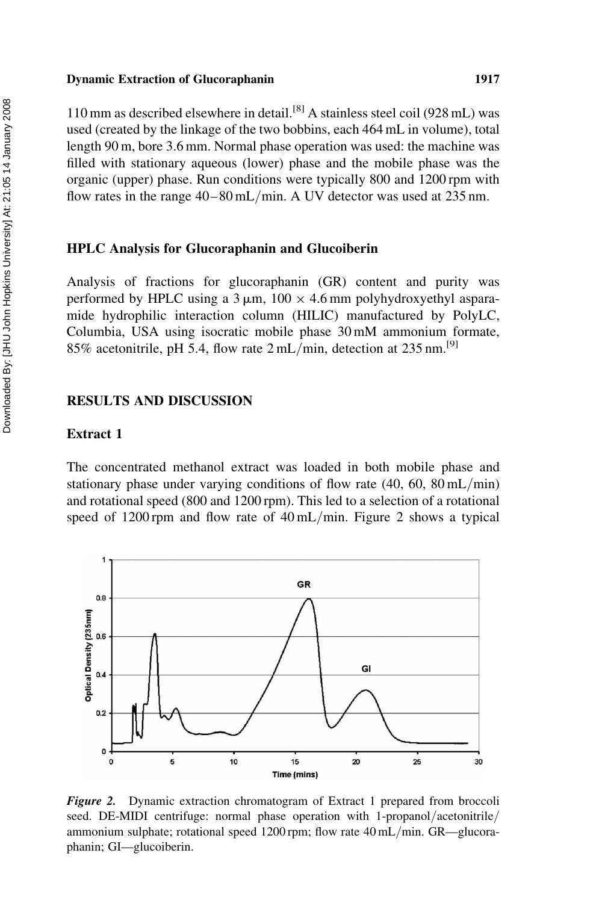#### Dynamic Extraction of Glucoraphanin 1917

110 mm as described elsewhere in detail.[8] A stainless steel coil (928 mL) was used (created by the linkage of the two bobbins, each 464 mL in volume), total length 90 m, bore 3.6 mm. Normal phase operation was used: the machine was filled with stationary aqueous (lower) phase and the mobile phase was the organic (upper) phase. Run conditions were typically 800 and 1200 rpm with flow rates in the range  $40-80$  mL/min. A UV detector was used at 235 nm.

#### HPLC Analysis for Glucoraphanin and Glucoiberin

Analysis of fractions for glucoraphanin (GR) content and purity was performed by HPLC using a  $3 \mu m$ ,  $100 \times 4.6$  mm polyhydroxyethyl asparamide hydrophilic interaction column (HILIC) manufactured by PolyLC, Columbia, USA using isocratic mobile phase 30 mM ammonium formate, 85% acetonitrile, pH 5.4, flow rate  $2 \text{ mL/min}$ , detection at  $235 \text{ nm}$ .<sup>[9]</sup>

#### RESULTS AND DISCUSSION

#### Extract 1

The concentrated methanol extract was loaded in both mobile phase and stationary phase under varying conditions of flow rate  $(40, 60, 80 \text{ mL/min})$ and rotational speed (800 and 1200 rpm). This led to a selection of a rotational speed of 1200 rpm and flow rate of 40 mL/min. Figure 2 shows a typical



**Figure 2.** Dynamic extraction chromatogram of Extract 1 prepared from broccoli seed. DE-MIDI centrifuge: normal phase operation with 1-propanol/acetonitrile/ ammonium sulphate; rotational speed 1200 rpm; flow rate 40 mL/min. GR—glucoraphanin; GI—glucoiberin.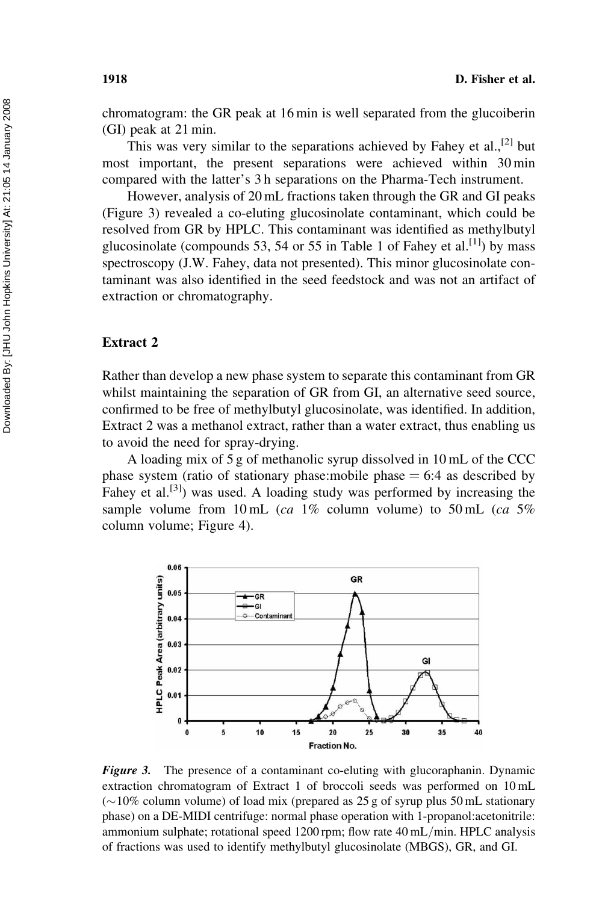chromatogram: the GR peak at 16 min is well separated from the glucoiberin (GI) peak at 21 min.

This was very similar to the separations achieved by Fahey et al.<sup>[2]</sup> but most important, the present separations were achieved within 30 min compared with the latter's 3 h separations on the Pharma-Tech instrument.

However, analysis of 20 mL fractions taken through the GR and GI peaks (Figure 3) revealed a co-eluting glucosinolate contaminant, which could be resolved from GR by HPLC. This contaminant was identified as methylbutyl glucosinolate (compounds 53, 54 or 55 in Table 1 of Fahey et al.<sup>[1]</sup>) by mass spectroscopy (J.W. Fahey, data not presented). This minor glucosinolate contaminant was also identified in the seed feedstock and was not an artifact of extraction or chromatography.

#### Extract 2

Rather than develop a new phase system to separate this contaminant from GR whilst maintaining the separation of GR from GI, an alternative seed source, confirmed to be free of methylbutyl glucosinolate, was identified. In addition, Extract 2 was a methanol extract, rather than a water extract, thus enabling us to avoid the need for spray-drying.

A loading mix of 5 g of methanolic syrup dissolved in 10 mL of the CCC phase system (ratio of stationary phase: mobile phase  $= 6:4$  as described by Fahey et al.<sup>[3]</sup>) was used. A loading study was performed by increasing the sample volume from 10 mL (ca 1% column volume) to 50 mL (ca 5% column volume; Figure 4).



Figure 3. The presence of a contaminant co-eluting with glucoraphanin. Dynamic extraction chromatogram of Extract 1 of broccoli seeds was performed on 10 mL  $(\sim)10\%$  column volume) of load mix (prepared as 25 g of syrup plus 50 mL stationary phase) on a DE-MIDI centrifuge: normal phase operation with 1-propanol:acetonitrile: ammonium sulphate; rotational speed 1200 rpm; flow rate 40 mL/min. HPLC analysis of fractions was used to identify methylbutyl glucosinolate (MBGS), GR, and GI.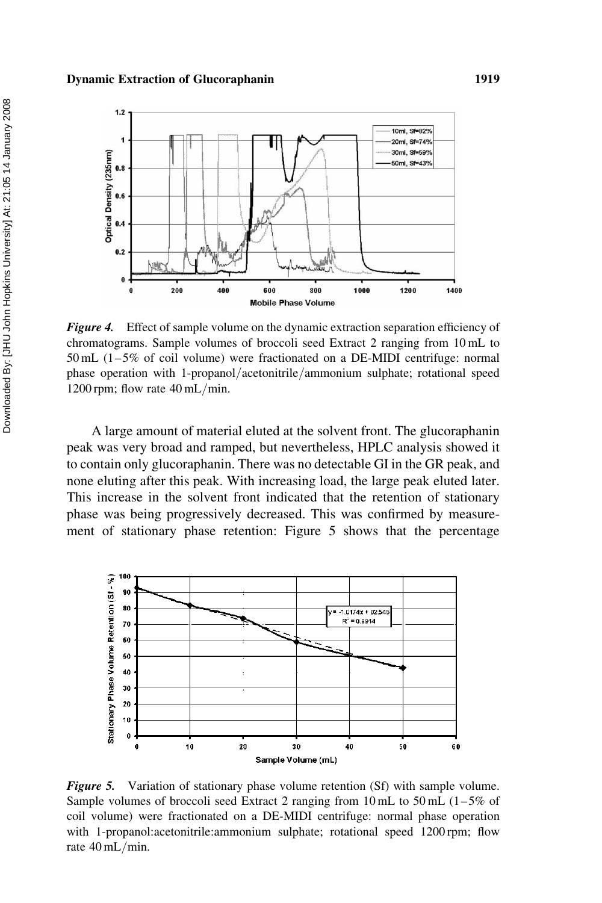

Figure 4. Effect of sample volume on the dynamic extraction separation efficiency of chromatograms. Sample volumes of broccoli seed Extract 2 ranging from 10 mL to  $50 \text{ mL}$  (1-5% of coil volume) were fractionated on a DE-MIDI centrifuge: normal phase operation with 1-propanol/acetonitrile/ammonium sulphate; rotational speed 1200 rpm; flow rate 40 mL/min.

A large amount of material eluted at the solvent front. The glucoraphanin peak was very broad and ramped, but nevertheless, HPLC analysis showed it to contain only glucoraphanin. There was no detectable GI in the GR peak, and none eluting after this peak. With increasing load, the large peak eluted later. This increase in the solvent front indicated that the retention of stationary phase was being progressively decreased. This was confirmed by measurement of stationary phase retention: Figure 5 shows that the percentage



Figure 5. Variation of stationary phase volume retention (Sf) with sample volume. Sample volumes of broccoli seed Extract 2 ranging from 10 mL to 50 mL  $(1-5\%$  of coil volume) were fractionated on a DE-MIDI centrifuge: normal phase operation with 1-propanol:acetonitrile:ammonium sulphate; rotational speed 1200 rpm; flow rate 40 mL/min.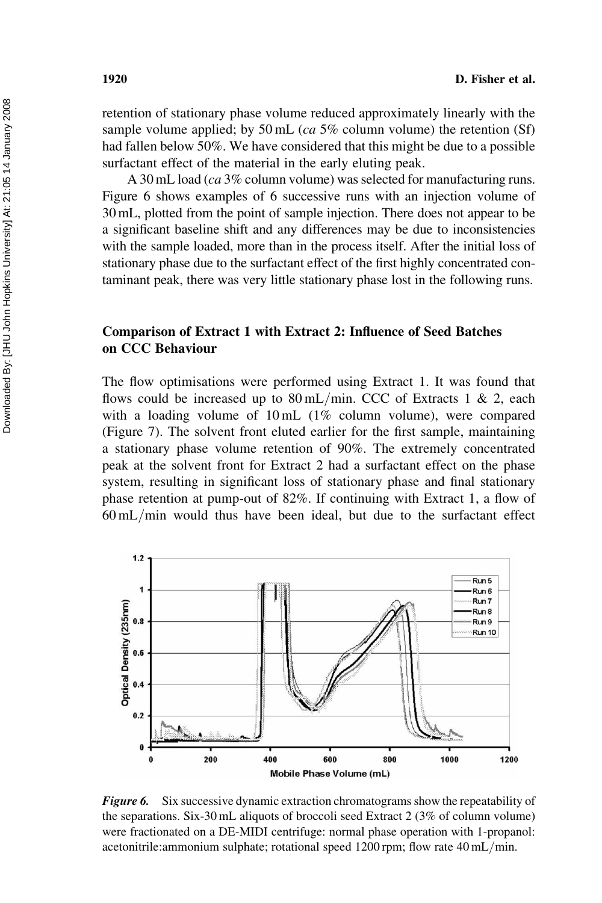retention of stationary phase volume reduced approximately linearly with the sample volume applied; by 50 mL ( $ca$  5% column volume) the retention (Sf) had fallen below 50%. We have considered that this might be due to a possible surfactant effect of the material in the early eluting peak.

A 30 mL load (ca 3% column volume) was selected for manufacturing runs. Figure 6 shows examples of 6 successive runs with an injection volume of 30 mL, plotted from the point of sample injection. There does not appear to be a significant baseline shift and any differences may be due to inconsistencies with the sample loaded, more than in the process itself. After the initial loss of stationary phase due to the surfactant effect of the first highly concentrated contaminant peak, there was very little stationary phase lost in the following runs.

## Comparison of Extract 1 with Extract 2: Influence of Seed Batches on CCC Behaviour

The flow optimisations were performed using Extract 1. It was found that flows could be increased up to  $80 \text{ mL/min}$ . CCC of Extracts 1 & 2, each with a loading volume of 10 mL (1% column volume), were compared (Figure 7). The solvent front eluted earlier for the first sample, maintaining a stationary phase volume retention of 90%. The extremely concentrated peak at the solvent front for Extract 2 had a surfactant effect on the phase system, resulting in significant loss of stationary phase and final stationary phase retention at pump-out of 82%. If continuing with Extract 1, a flow of 60 mL/min would thus have been ideal, but due to the surfactant effect



**Figure 6.** Six successive dynamic extraction chromatograms show the repeatability of the separations. Six-30 mL aliquots of broccoli seed Extract 2 (3% of column volume) were fractionated on a DE-MIDI centrifuge: normal phase operation with 1-propanol: acetonitrile:ammonium sulphate; rotational speed 1200 rpm; flow rate 40 mL/min.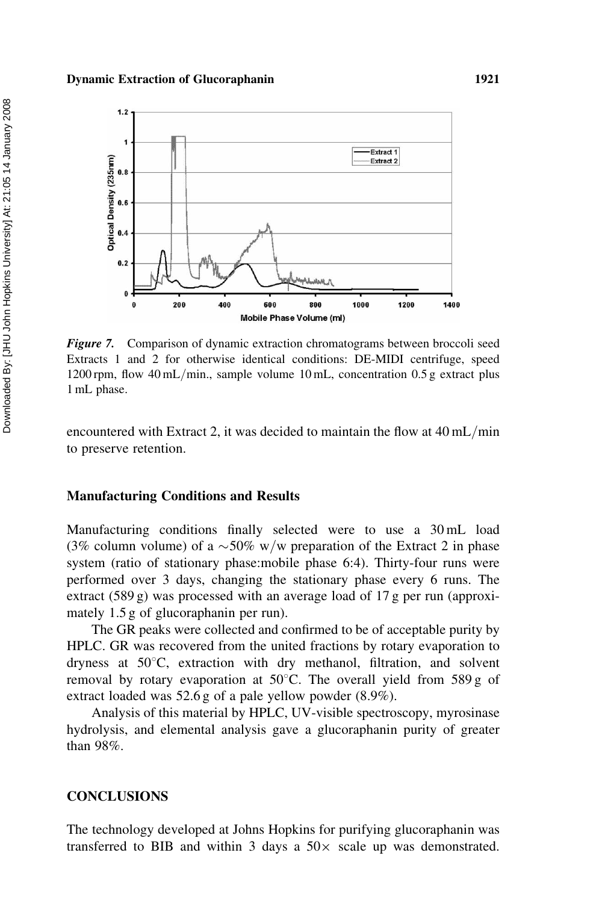#### Dynamic Extraction of Glucoraphanin 1921



Figure 7. Comparison of dynamic extraction chromatograms between broccoli seed Extracts 1 and 2 for otherwise identical conditions: DE-MIDI centrifuge, speed 1200 rpm, flow 40 mL/min., sample volume 10 mL, concentration 0.5 g extract plus 1 mL phase.

encountered with Extract 2, it was decided to maintain the flow at 40 mL/min to preserve retention.

#### Manufacturing Conditions and Results

Manufacturing conditions finally selected were to use a 30 mL load (3% column volume) of a  $\sim$  50% w/w preparation of the Extract 2 in phase system (ratio of stationary phase:mobile phase 6:4). Thirty-four runs were performed over 3 days, changing the stationary phase every 6 runs. The extract (589 g) was processed with an average load of 17 g per run (approximately 1.5 g of glucoraphanin per run).

The GR peaks were collected and confirmed to be of acceptable purity by HPLC. GR was recovered from the united fractions by rotary evaporation to dryness at  $50^{\circ}$ C, extraction with dry methanol, filtration, and solvent removal by rotary evaporation at  $50^{\circ}$ C. The overall yield from  $589 g$  of extract loaded was 52.6 g of a pale yellow powder (8.9%).

Analysis of this material by HPLC, UV-visible spectroscopy, myrosinase hydrolysis, and elemental analysis gave a glucoraphanin purity of greater than 98%.

### **CONCLUSIONS**

The technology developed at Johns Hopkins for purifying glucoraphanin was transferred to BIB and within 3 days a  $50\times$  scale up was demonstrated.